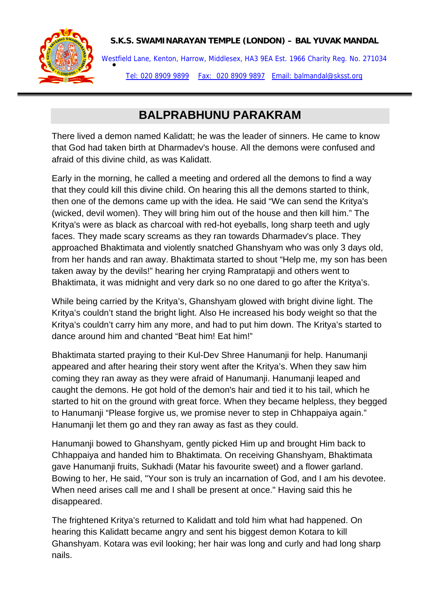## **S.K.S. SWAMINARAYAN TEMPLE (LONDON) – BAL YUVAK MANDAL**



Westfield Lane, Kenton, Harrow, Middlesex, HA3 9EA Est. 1966 Charity Reg. No. 271034<br>● Tel: 020 8909 9899 Fax: 020 8909 9897 Email: balmandal@sksst.org

## **BALPRABHUNU PARAKRAM**

There lived a demon named Kalidatt; he was the leader of sinners. He came to know that God had taken birth at Dharmadev's house. All the demons were confused and afraid of this divine child, as was Kalidatt.

Early in the morning, he called a meeting and ordered all the demons to find a way that they could kill this divine child. On hearing this all the demons started to think, then one of the demons came up with the idea. He said "We can send the Kritya's (wicked, devil women). They will bring him out of the house and then kill him." The Kritya's were as black as charcoal with red-hot eyeballs, long sharp teeth and ugly faces. They made scary screams as they ran towards Dharmadev's place. They approached Bhaktimata and violently snatched Ghanshyam who was only 3 days old, from her hands and ran away. Bhaktimata started to shout "Help me, my son has been taken away by the devils!" hearing her crying Rampratapji and others went to Bhaktimata, it was midnight and very dark so no one dared to go after the Kritya's.

While being carried by the Kritya's, Ghanshyam glowed with bright divine light. The Kritya's couldn't stand the bright light. Also He increased his body weight so that the Kritya's couldn't carry him any more, and had to put him down. The Kritya's started to dance around him and chanted "Beat him! Eat him!"

Bhaktimata started praying to their Kul-Dev Shree Hanumanji for help. Hanumanji appeared and after hearing their story went after the Kritya's. When they saw him coming they ran away as they were afraid of Hanumanji. Hanumanji leaped and caught the demons. He got hold of the demon's hair and tied it to his tail, which he started to hit on the ground with great force. When they became helpless, they begged to Hanumanji "Please forgive us, we promise never to step in Chhappaiya again." Hanumanji let them go and they ran away as fast as they could.

Hanumanji bowed to Ghanshyam, gently picked Him up and brought Him back to Chhappaiya and handed him to Bhaktimata. On receiving Ghanshyam, Bhaktimata gave Hanumanji fruits, Sukhadi (Matar his favourite sweet) and a flower garland. Bowing to her, He said, "Your son is truly an incarnation of God, and I am his devotee. When need arises call me and I shall be present at once." Having said this he disappeared.

The frightened Kritya's returned to Kalidatt and told him what had happened. On hearing this Kalidatt became angry and sent his biggest demon Kotara to kill Ghanshyam. Kotara was evil looking; her hair was long and curly and had long sharp nails.